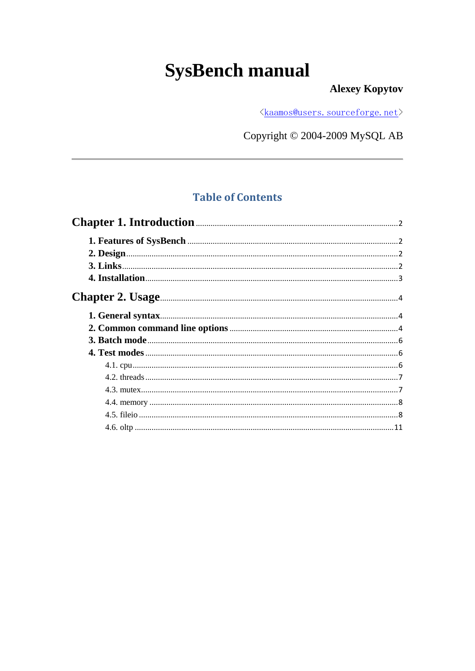# **SysBench manual**

### **Alexey Kopytov**

<kaamos@users.sourceforge.net>

Copyright © 2004-2009 MySQL AB

### **Table of Contents**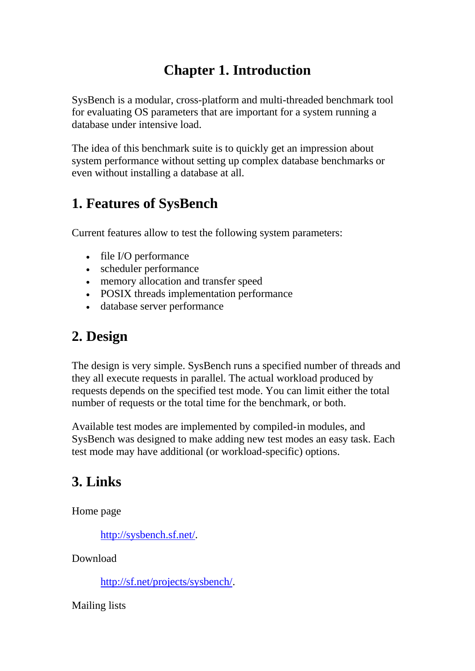# **Chapter 1. Introduction**

<span id="page-1-0"></span>SysBench is a modular, cross-platform and multi-threaded benchmark tool for evaluating OS parameters that are important for a system running a database under intensive load.

The idea of this benchmark suite is to quickly get an impression about system performance without setting up complex database benchmarks or even without installing a database at all.

### <span id="page-1-1"></span>**1. Features of SysBench**

Current features allow to test the following system parameters:

- file I/O performance
- scheduler performance
- memory allocation and transfer speed
- POSIX threads implementation performance
- database server performance

### <span id="page-1-2"></span>**2. Design**

The design is very simple. SysBench runs a specified number of threads and they all execute requests in parallel. The actual workload produced by requests depends on the specified test mode. You can limit either the total number of requests or the total time for the benchmark, or both.

Available test modes are implemented by compiled-in modules, and SysBench was designed to make adding new test modes an easy task. Each test mode may have additional (or workload-specific) options.

### <span id="page-1-3"></span>**3. Links**

Home page

[http://sysbench.sf.net/.](http://sysbench.sf.net/)

Download

[http://sf.net/projects/sysbench/.](http://sf.net/projects/sysbench/)

Mailing lists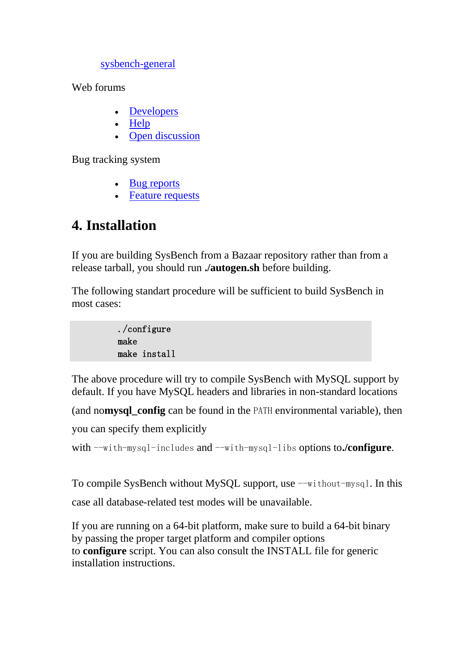sysbench-general

Web f[orums](http://sourceforge.net/mail/?group_id=102348)

- [Developers](http://sourceforge.net/forum/forum.php?forum_id=353125)
- [Help](http://sourceforge.net/forum/forum.php?forum_id=353124)
- [Open discussion](http://sourceforge.net/forum/forum.php?forum_id=353123)

Bug tracking system

- [Bug reports](http://sourceforge.net/tracker/?atid=631676&group_id=102348&func=browse)
- [Feature requests](http://sourceforge.net/tracker/?atid=631679&group_id=102348&func=browse)

### <span id="page-2-0"></span>**4. Installation**

If you are building SysBench from a Bazaar repository rather than from a release tarball, you should run **./autogen.sh** before building.

The following standart procedure will be sufficient to build SysBench in most cases:

> ./configure make make install

The above procedure will try to compile SysBench with MySQL support by default. If you have MySQL headers and libraries in non-standard locations

(and no**mysql\_config** can be found in the PATH environmental variable), then

you can specify them explicitly

with --with-mysql-includes and --with-mysql-libs options to**./configure**.

To compile SysBench without MySQL support, use  $-\text{without-mysql}$ . In this

case all database-related test modes will be unavailable.

If you are running on a 64-bit platform, make sure to build a 64-bit binary by passing the proper target platform and compiler options to **configure** script. You can also consult the INSTALL file for generic installation instructions.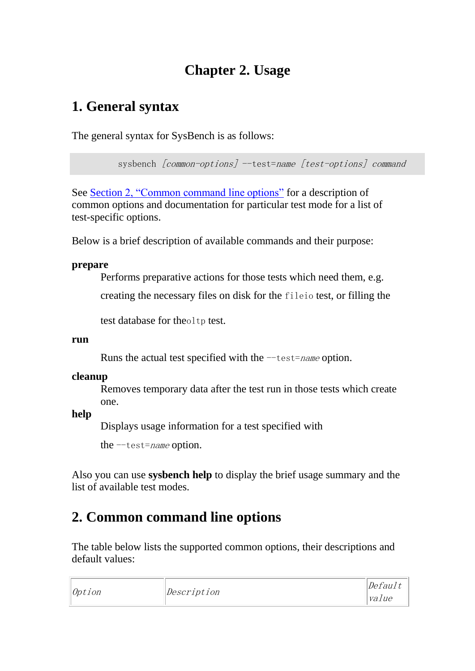# **Chapter 2. Usage**

# <span id="page-3-1"></span><span id="page-3-0"></span>**1. General syntax**

The general syntax for SysBench is as follows:

sysbench [common-options] --test=name [test-options] command

See Section [2, "Common command line options"](http://sysbench.sourceforge.net/docs/#common_options) for a description of common options and documentation for particular test mode for a list of test-specific options.

Below is a brief description of available commands and their purpose:

#### **prepare**

Performs preparative actions for those tests which need them, e.g.

creating the necessary files on disk for the fileio test, or filling the

test database for theoltp test.

#### **run**

Runs the actual test specified with the  $-$ test=name option.

### **cleanup**

Removes temporary data after the test run in those tests which create one.

**help**

Displays usage information for a test specified with

the  $-$ test=*name* option.

Also you can use **sysbench help** to display the brief usage summary and the list of available test modes.

# <span id="page-3-2"></span>**2. Common command line options**

The table below lists the supported common options, their descriptions and default values:

|        |             | Default |
|--------|-------------|---------|
| 0ption | Description | value   |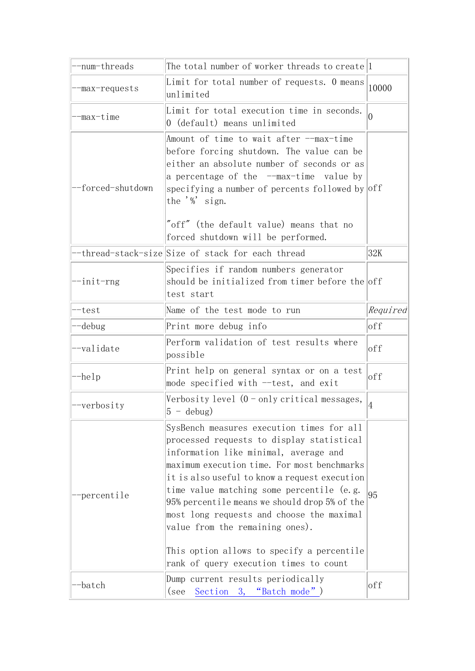| -num-threads                 | The total number of worker threads to create <sup>1</sup>                                                                                                                                                                                                                                                                                                                                                                                                                                             |                |
|------------------------------|-------------------------------------------------------------------------------------------------------------------------------------------------------------------------------------------------------------------------------------------------------------------------------------------------------------------------------------------------------------------------------------------------------------------------------------------------------------------------------------------------------|----------------|
| -max-requests                | Limit for total number of requests. O means<br>unlimited                                                                                                                                                                                                                                                                                                                                                                                                                                              | 10000          |
| -max-time                    | Limit for total execution time in seconds.<br>0 (default) means unlimited                                                                                                                                                                                                                                                                                                                                                                                                                             | $\overline{0}$ |
| forced-shutdown <sup>-</sup> | Amount of time to wait after --max-time<br>before forcing shutdown. The value can be<br>either an absolute number of seconds or as<br>a percentage of the --max-time value by<br>specifying a number of percents followed by off<br>the $\frac{y}{x}$ sign.<br>"off" (the default value) means that no<br>forced shutdown will be performed.                                                                                                                                                          |                |
|                              | thread-stack-size Size of stack for each thread                                                                                                                                                                                                                                                                                                                                                                                                                                                       | 32K            |
| -init-rng                    | Specifies if random numbers generator<br>should be initialized from timer before the off<br>test start                                                                                                                                                                                                                                                                                                                                                                                                |                |
| -test                        | Name of the test mode to run                                                                                                                                                                                                                                                                                                                                                                                                                                                                          | Required       |
| -debug                       | Print more debug info                                                                                                                                                                                                                                                                                                                                                                                                                                                                                 | off            |
| -validate                    | Perform validation of test results where<br>possible                                                                                                                                                                                                                                                                                                                                                                                                                                                  | off            |
| --help                       | Print help on general syntax or on a test<br>mode specified with --test, and exit                                                                                                                                                                                                                                                                                                                                                                                                                     | off            |
| --verbosity                  | Verbosity level (0 - only critical messages,<br>$5 - \text{debug}$                                                                                                                                                                                                                                                                                                                                                                                                                                    | 4              |
| percentile                   | SysBench measures execution times for all<br>processed requests to display statistical<br>information like minimal, average and<br>maximum execution time. For most benchmarks<br>it is also useful to know a request execution<br>time value matching some percentile (e.g.<br>95% percentile means we should drop 5% of the<br>most long requests and choose the maximal<br>value from the remaining ones).<br>This option allows to specify a percentile<br>rank of query execution times to count | 95             |
| batch                        | Dump current results periodically<br>Section 3, "Batch mode")<br>(see                                                                                                                                                                                                                                                                                                                                                                                                                                 | off            |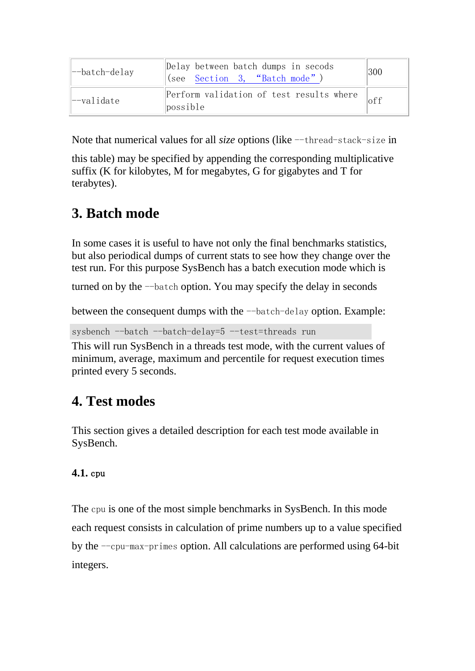| --batch-delay                | Delay between batch dumps in secods<br>(see <u>Section 3, "Batch</u> mode") | 300            |
|------------------------------|-----------------------------------------------------------------------------|----------------|
| $\left -\text{value}\right $ | Perform validation of test results where<br>possible                        | 0 <sup>f</sup> |

Note that numerical values for all *size* options (like --thread-stack-size in

this table) may be specified by appending the corresponding multiplicative suffix (K for kilobytes, M for megabytes, G for gigabytes and T for terabytes).

# <span id="page-5-0"></span>**3. Batch mode**

In some cases it is useful to have not only the final benchmarks statistics, but also periodical dumps of current stats to see how they change over the test run. For this purpose SysBench has a batch execution mode which is

turned on by the --batch option. You may specify the delay in seconds

between the consequent dumps with the --batch-delay option. Example:

sysbench --batch --batch-delay=5 --test=threads run

This will run SysBench in a threads test mode, with the current values of minimum, average, maximum and percentile for request execution times printed every 5 seconds.

# <span id="page-5-1"></span>**4. Test modes**

This section gives a detailed description for each test mode available in SysBench.

### <span id="page-5-2"></span>**4.1.** cpu

The cpu is one of the most simple benchmarks in SysBench. In this mode each request consists in calculation of prime numbers up to a value specified by the --cpu-max-primes option. All calculations are performed using 64-bit integers.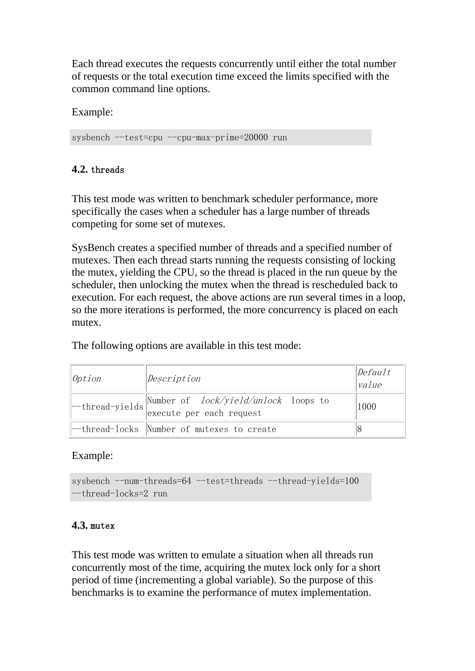Each thread executes the requests concurrently until either the total number of requests or the total execution time exceed the limits specified with the common command line options.

Example:

<span id="page-6-0"></span>sysbench --test=cpu --cpu-max-prime=20000 run

### **4.2.** threads

This test mode was written to benchmark scheduler performance, more specifically the cases when a scheduler has a large number of threads competing for some set of mutexes.

SysBench creates a specified number of threads and a specified number of mutexes. Then each thread starts running the requests consisting of locking the mutex, yielding the CPU, so the thread is placed in the run queue by the scheduler, then unlocking the mutex when the thread is rescheduled back to execution. For each request, the above actions are run several times in a loop, so the more iterations is performed, the more concurrency is placed on each mutex.

The following options are available in this test mode:

| Option | Description                                                                        | $\Delta$<br>value |
|--------|------------------------------------------------------------------------------------|-------------------|
|        | --thread-yields Number of $lock/yield/unlock$ loops to<br>execute per each request | 1000              |
|        | --thread-locks Number of mutexes to create                                         |                   |

### Example:

sysbench --num-threads=64 --test=threads --thread-yields=100 --thread-locks=2 run

#### <span id="page-6-1"></span>**4.3.** mutex

This test mode was written to emulate a situation when all threads run concurrently most of the time, acquiring the mutex lock only for a short period of time (incrementing a global variable). So the purpose of this benchmarks is to examine the performance of mutex implementation.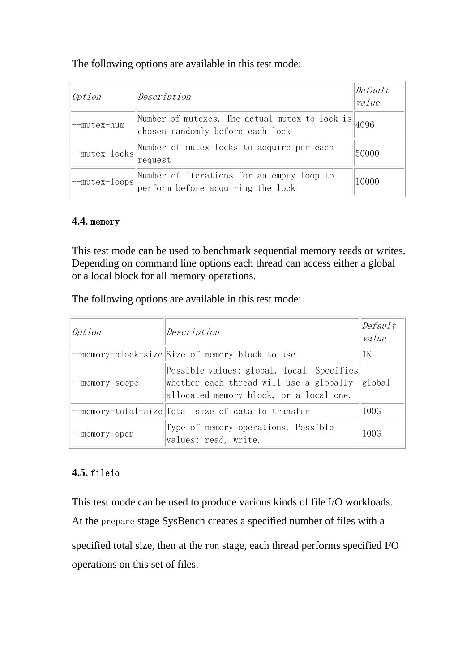#### The following options are available in this test mode:

| Option      | Description                                                                                       | Default<br>value |
|-------------|---------------------------------------------------------------------------------------------------|------------------|
| --mutex-num | Number of mutexes. The actual mutex to lock is $\vert_{4096}$<br>chosen randomly before each lock |                  |
|             | -mutex-locks Number of mutex locks to acquire per each<br>request                                 | 50000            |
|             | --mutex-loops Number of iterations for an empty loop to<br>perform before acquiring the lock      | 10000            |

#### <span id="page-7-0"></span>**4.4.** memory

This test mode can be used to benchmark sequential memory reads or writes. Depending on command line options each thread can access either a global or a local block for all memory operations.

The following options are available in this test mode:

| Option        | Description                                                                                                                     | Default<br>value |
|---------------|---------------------------------------------------------------------------------------------------------------------------------|------------------|
|               | --memory-block-size Size of memory block to use                                                                                 | 1 K              |
| -memory-scope | Possible values: global, local. Specifies<br>whether each thread will use a globally<br>allocated memory block, or a local one. | global           |
|               | --memory-total-size  Total size of data to transfer                                                                             | 100G             |
| -memory-oper  | Type of memory operations. Possible<br>values: read, write.                                                                     | 100G             |

### <span id="page-7-1"></span>**4.5.** fileio

This test mode can be used to produce various kinds of file I/O workloads. At the prepare stage SysBench creates a specified number of files with a specified total size, then at the run stage, each thread performs specified I/O operations on this set of files.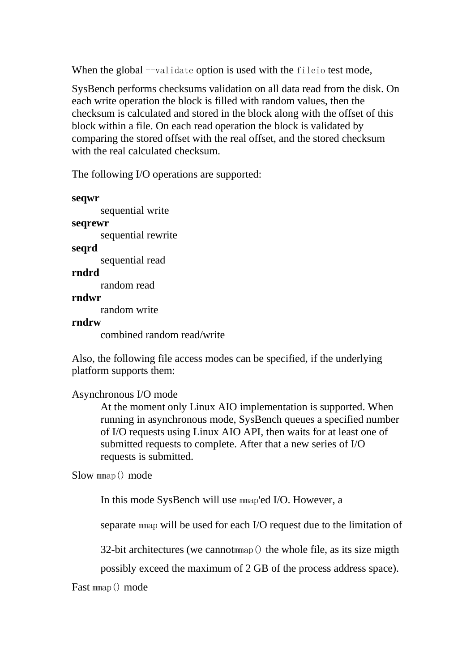When the global --validate option is used with the fileio test mode,

SysBench performs checksums validation on all data read from the disk. On each write operation the block is filled with random values, then the checksum is calculated and stored in the block along with the offset of this block within a file. On each read operation the block is validated by comparing the stored offset with the real offset, and the stored checksum with the real calculated checksum.

The following I/O operations are supported:

```
seqwr
      sequential write
seqrewr
      sequential rewrite
seqrd
      sequential read
rndrd
      random read
rndwr
      random write
rndrw
      combined random read/write
```
Also, the following file access modes can be specified, if the underlying platform supports them:

```
Asynchronous I/O mode
```
At the moment only Linux AIO implementation is supported. When running in asynchronous mode, SysBench queues a specified number of I/O requests using Linux AIO API, then waits for at least one of submitted requests to complete. After that a new series of I/O requests is submitted.

Slow mmap() mode

In this mode SysBench will use mmap'ed I/O. However, a

separate mmap will be used for each I/O request due to the limitation of

32-bit architectures (we cannotmmap() the whole file, as its size migth

possibly exceed the maximum of 2 GB of the process address space).

Fast mmap() mode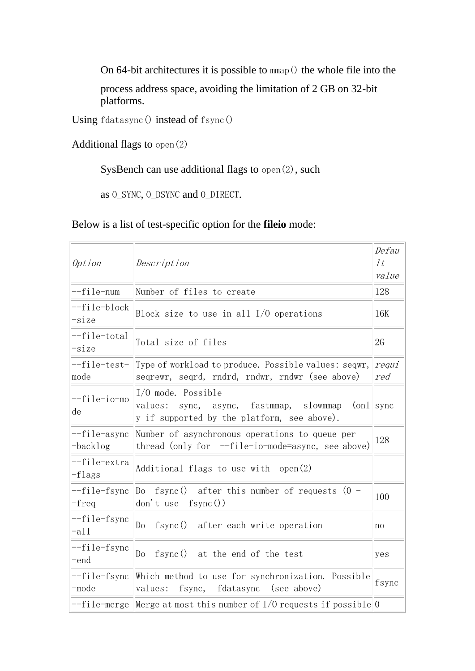On 64-bit architectures it is possible to mmap() the whole file into the process address space, avoiding the limitation of 2 GB on 32-bit platforms.

Using fdatasync() instead of fsync()

Additional flags to open(2)

SysBench can use additional flags to open(2), such

as O\_SYNC, O\_DSYNC and O\_DIRECT.

### Below is a list of test-specific option for the **fileio** mode:

| Option                   | Description                                                                                                                                | Defau<br>1 <sub>t</sub><br>value |
|--------------------------|--------------------------------------------------------------------------------------------------------------------------------------------|----------------------------------|
| --file-num               | Number of files to create                                                                                                                  | 128                              |
| --file-block<br>-size    | Block size to use in all $I/O$ operations                                                                                                  | 16K                              |
| --file-total<br>-size    | Total size of files                                                                                                                        | 2G                               |
| --file-test-<br>mode     | Type of workload to produce. Possible values: seqwr,<br>seqrewr, seqrd, rndrd, rndwr, rndwr (see above)                                    | requi<br>red                     |
| --file-io-mo<br>de       | $I/O$ mode. Possible<br>$\lceil$ (on $\lceil$<br>values:<br>sync, async, fastmmap, slowmmap<br>y if supported by the platform, see above). | sync                             |
| --file-async<br>-backlog | Number of asynchronous operations to queue per<br>thread (only for $-file-io$ -mode=async, see above)                                      | 128                              |
| --file-extra<br>-flags   | Additional flags to use with $open(2)$                                                                                                     |                                  |
| --file-fsync<br>-freq    | Do fsync() after this number of requests $(0 -$<br>don't use $fsync())$                                                                    | 100                              |
| --file-fsync<br>-all     | fsync() after each write operation<br>Do                                                                                                   | no                               |
| --file-fsync<br>-end     | fsync() at the end of the test<br>Do                                                                                                       | yes                              |
| --file-fsync<br>-mode    | Which method to use for synchronization. Possible<br>values: fsync, fdatasync (see above)                                                  | fsync                            |
|                          | --file-merge Merge at most this number of I/O requests if possible O                                                                       |                                  |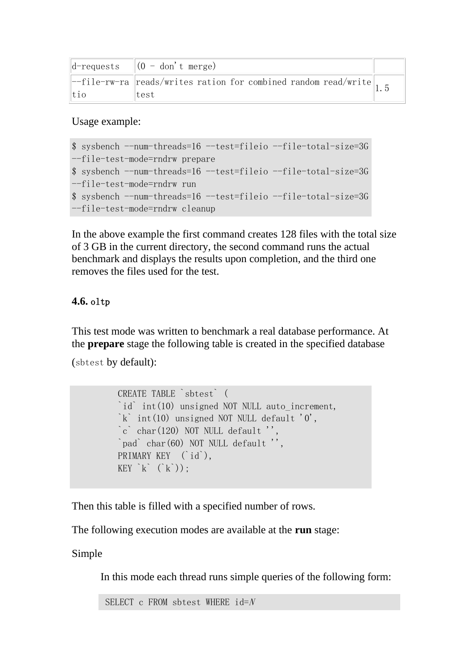|             | $\left\  d\text{-requires }\right\  (0 - don't merge)$                                                     |  |
|-------------|------------------------------------------------------------------------------------------------------------|--|
|             | $\left[-\text{file-rw-ra}\right]$ reads/writes ration for combined random read/write $\left.\right _{1.5}$ |  |
| $\vert$ tio | Itest                                                                                                      |  |

Usage example:

```
$ sysbench --num-threads=16 --test=fileio --file-total-size=3G 
--file-test-mode=rndrw prepare
$ sysbench --num-threads=16 --test=fileio --file-total-size=3G
--file-test-mode=rndrw run
$ sysbench --num-threads=16 --test=fileio --file-total-size=3G 
 --file-test-mode=rndrw cleanup
```
In the above example the first command creates 128 files with the total size of 3 GB in the current directory, the second command runs the actual benchmark and displays the results upon completion, and the third one removes the files used for the test.

### <span id="page-10-0"></span>**4.6.** oltp

This test mode was written to benchmark a real database performance. At the **prepare** stage the following table is created in the specified database

(sbtest by default):

```
 CREATE TABLE `sbtest` (
 `id` int(10) unsigned NOT NULL auto_increment,
\dot{k} int(10) unsigned NOT NULL default '0',
\degreechar(120) NOT NULL default ''.
 `pad` char(60) NOT NULL default '',
 PRIMARY KEY (`id`),
KEY k^{\prime} (k^{\prime}):
```
Then this table is filled with a specified number of rows.

The following execution modes are available at the **run** stage:

Simple

In this mode each thread runs simple queries of the following form:

```
SELECT c FROM sbtest WHERE id = N
```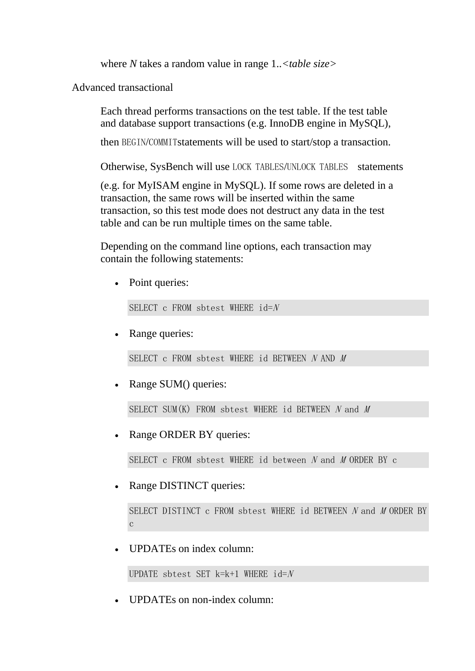where *N* takes a random value in range 1..*<table size>*

Advanced transactional

Each thread performs transactions on the test table. If the test table and database support transactions (e.g. InnoDB engine in MySQL),

then BEGIN/COMMITstatements will be used to start/stop a transaction.

Otherwise, SysBench will use LOCK TABLES/UNLOCK TABLES statements

(e.g. for MyISAM engine in MySQL). If some rows are deleted in a transaction, the same rows will be inserted within the same transaction, so this test mode does not destruct any data in the test table and can be run multiple times on the same table.

Depending on the command line options, each transaction may contain the following statements:

Point queries:

SELECT c FROM sbtest WHERE  $id=N$ 

Range queries:

SELECT c FROM sbtest WHERE id BETWEEN N AND M

Range SUM() queries:

SELECT SUM $(K)$  FROM sbtest WHERE id BETWEEN N and M

Range ORDER BY queries:

SELECT c FROM sbtest WHERE id between <sup>N</sup> and <sup>M</sup> ORDER BY c

Range DISTINCT queries:

SELECT DISTINCT c FROM sbtest WHERE id BETWEEN N and N ORDER BY c

UPDATEs on index column:

```
UPDATE sbtest SET k=k+1 WHERE id=N
```
UPDATEs on non-index column: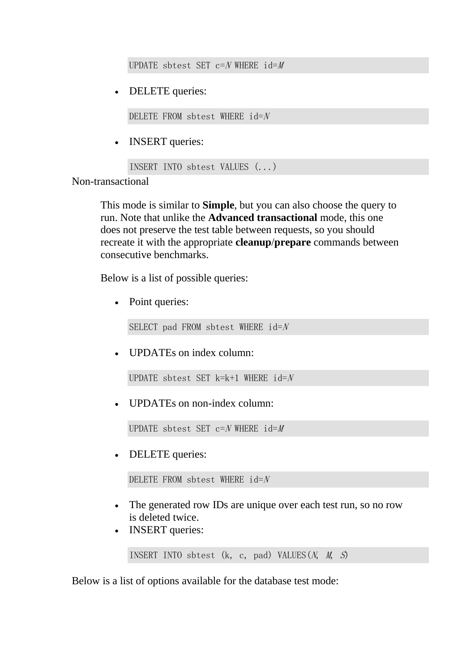UPDATE sbtest SET  $c=N$  WHERE  $id=M$ 

DELETE queries:

DELETE FROM sbtest WHERE  $id=N$ 

INSERT queries:

```
INSERT INTO sbtest VALUES (...)
```
Non-transactional

This mode is similar to **Simple**, but you can also choose the query to run. Note that unlike the **Advanced transactional** mode, this one does not preserve the test table between requests, so you should recreate it with the appropriate **cleanup**/**prepare** commands between consecutive benchmarks.

Below is a list of possible queries:

• Point queries:

SELECT pad FROM sbtest WHERE  $id=N$ 

UPDATEs on index column:

UPDATE sbtest SET  $k=k+1$  WHERE  $id=N$ 

UPDATEs on non-index column:

UPDATE sbtest SET  $c=N$  WHERE  $id=M$ 

DELETE queries:

DELETE FROM sbtest WHERE  $id=N$ 

- The generated row IDs are unique over each test run, so no row is deleted twice.
- **INSERT** queries:

INSERT INTO sbtest  $(k, c, pad)$  VALUES $(N, M, S)$ 

Below is a list of options available for the database test mode: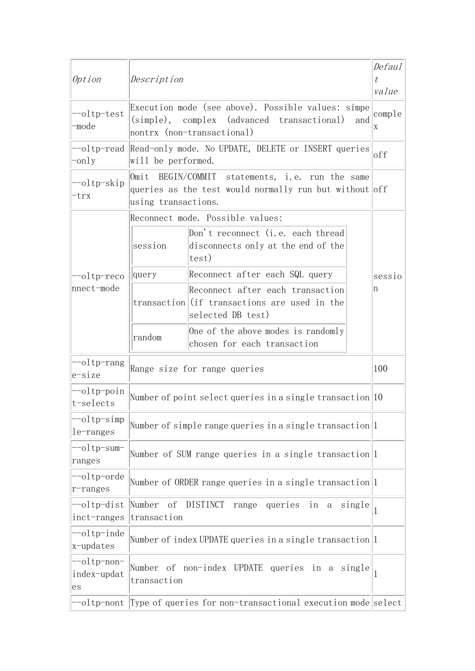| Option                                            | Description                                                        |                                                                                                                                       | Defaul<br>t<br>value |
|---------------------------------------------------|--------------------------------------------------------------------|---------------------------------------------------------------------------------------------------------------------------------------|----------------------|
| --oltp-test<br>-mode                              |                                                                    | Execution mode (see above). Possible values: simpe<br>(simple), complex (advanced transactional)<br>and<br>nontrx (non-transactional) | comple<br>Χ          |
| -only                                             | will be performed.                                                 | --oltp-read Read-only mode. No UPDATE, DELETE or INSERT queries                                                                       | off                  |
| --oltp-skip<br>trx                                | using transactions.                                                | Omit BEGIN/COMMIT statements, i.e. run the same<br>queries as the test would normally run but without off                             |                      |
|                                                   |                                                                    | Reconnect mode. Possible values:                                                                                                      |                      |
|                                                   | session                                                            | Don't reconnect (i.e. each thread<br>disconnects only at the end of the<br> test)                                                     |                      |
| $\left -\text{oltp-reco}\right $                  | query                                                              | Reconnect after each SQL query                                                                                                        | sessio               |
| $ n $ nnect-mode                                  |                                                                    | Reconnect after each transaction<br>transaction (if transactions are used in the<br>selected DB test)                                 | n                    |
|                                                   | random                                                             | One of the above modes is randomly<br>chosen for each transaction                                                                     |                      |
| --oltp-rang <br>$e$ -size                         |                                                                    | Range size for range queries                                                                                                          | 100                  |
| $\left -\text{oltp-point}\right $<br>$t$ -selects |                                                                    | Number of point select queries in a single transaction 10                                                                             |                      |
| --oltp-simp<br>$le$ -ranges                       | Number of simple range queries in a single transaction $ 1\rangle$ |                                                                                                                                       |                      |
| --oltp-sum-<br>ranges                             | Number of SUM range queries in a single transaction $ 1 $          |                                                                                                                                       |                      |
| $\left -\text{o1tp-orde}\right $<br>$ r$ -ranges  | Number of ORDER range queries in a single transaction $ 1 $        |                                                                                                                                       |                      |
| $\left -\text{oltp-dist}\right $<br>inct-ranges   | Number of DISTINCT<br>range queries in a single<br>transaction     |                                                                                                                                       | 1                    |
| $\left -\text{o1tp-inde}\right $<br>x-updates     |                                                                    | Number of index UPDATE queries in a single transaction 1                                                                              |                      |
| --oltp-non-<br>index-updat<br>es                  | transaction                                                        | Number of non-index UPDATE queries in a single                                                                                        | 1                    |
| --oltp-nont                                       |                                                                    | Type of queries for non-transactional execution mode select                                                                           |                      |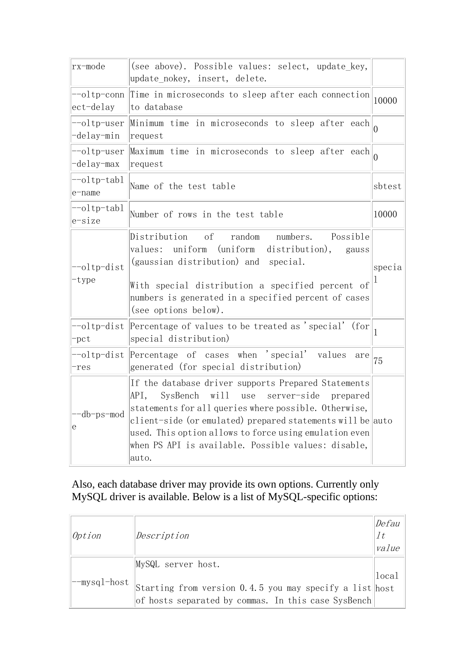| rx-mode                     | (see above). Possible values: select, update_key,<br>update nokey, insert, delete.                                                                                                                                                                                                                                                                              |              |
|-----------------------------|-----------------------------------------------------------------------------------------------------------------------------------------------------------------------------------------------------------------------------------------------------------------------------------------------------------------------------------------------------------------|--------------|
| --oltp-conn<br>$ect$ -delay | Time in microseconds to sleep after each connection<br>to database                                                                                                                                                                                                                                                                                              | 10000        |
| --oltp-user<br>-delay-min   | Minimum time in microseconds to sleep after each $\vert_0$<br>request                                                                                                                                                                                                                                                                                           |              |
| --oltp-user<br>-delay-max   | Maximum time in microseconds to sleep after each<br>request                                                                                                                                                                                                                                                                                                     |              |
| --oltp-tabl<br>e-name       | Name of the test table                                                                                                                                                                                                                                                                                                                                          | sbtest       |
| --oltp-tabl<br>e-size       | Number of rows in the test table                                                                                                                                                                                                                                                                                                                                | 10000        |
| --oltp-dist<br>-type        | Distribution of<br>Possible<br>random<br>numbers.<br>uniform<br>(uniform<br>values:<br>distribution),<br>gauss<br>(gaussian distribution) and special.<br>With special distribution a specified percent of<br>numbers is generated in a specified percent of cases<br>(see options below).                                                                      | specia       |
| -pct                        | --oltp-dist Percentage of values to be treated as 'special' (for<br>special distribution)                                                                                                                                                                                                                                                                       | $\mathbf{1}$ |
| --oltp-dist<br>res-         | Percentage of cases when 'special' values<br>are<br>generated (for special distribution)                                                                                                                                                                                                                                                                        | 75           |
| -db-ps-mod<br>е             | If the database driver supports Prepared Statements<br>will use<br>API,<br>SysBench<br>server-side<br>prepared<br>statements for all queries where possible. Otherwise,<br>client-side (or emulated) prepared statements will be auto<br>used. This option allows to force using emulation even<br>when PS API is available. Possible values: disable,<br>auto. |              |

#### Also, each database driver may provide its own options. Currently only MySQL driver is available. Below is a list of MySQL-specific options:

|              |                                                         | Defau          |
|--------------|---------------------------------------------------------|----------------|
| Option       | Description                                             | 1 <sub>t</sub> |
|              |                                                         | value          |
|              | MySQL server host.                                      |                |
| --mysql-host |                                                         | local          |
|              | Starting from version 0.4.5 you may specify a list host |                |
|              | of hosts separated by commas. In this case SysBench     |                |